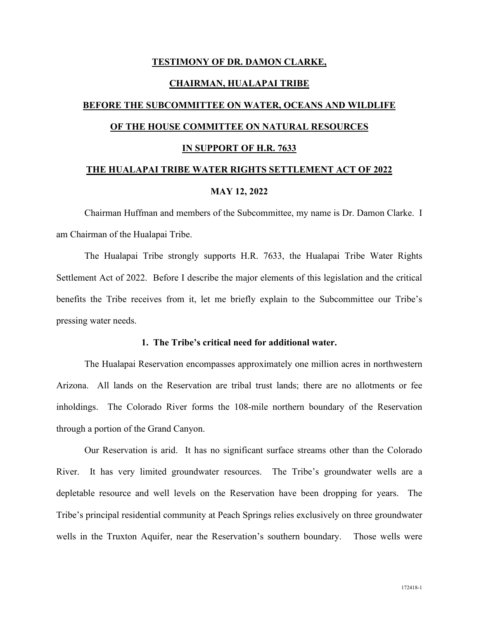### **TESTIMONY OF DR. DAMON CLARKE,**

#### **CHAIRMAN, HUALAPAI TRIBE**

# **BEFORE THE SUBCOMMITTEE ON WATER, OCEANS AND WILDLIFE OF THE HOUSE COMMITTEE ON NATURAL RESOURCES**

#### **IN SUPPORT OF H.R. 7633**

## **THE HUALAPAI TRIBE WATER RIGHTS SETTLEMENT ACT OF 2022 MAY 12, 2022**

Chairman Huffman and members of the Subcommittee, my name is Dr. Damon Clarke. I am Chairman of the Hualapai Tribe.

The Hualapai Tribe strongly supports H.R. 7633, the Hualapai Tribe Water Rights Settlement Act of 2022. Before I describe the major elements of this legislation and the critical benefits the Tribe receives from it, let me briefly explain to the Subcommittee our Tribe's pressing water needs.

#### **1. The Tribe's critical need for additional water.**

The Hualapai Reservation encompasses approximately one million acres in northwestern Arizona. All lands on the Reservation are tribal trust lands; there are no allotments or fee inholdings. The Colorado River forms the 108-mile northern boundary of the Reservation through a portion of the Grand Canyon.

Our Reservation is arid. It has no significant surface streams other than the Colorado River. It has very limited groundwater resources. The Tribe's groundwater wells are a depletable resource and well levels on the Reservation have been dropping for years. The Tribe's principal residential community at Peach Springs relies exclusively on three groundwater wells in the Truxton Aquifer, near the Reservation's southern boundary. Those wells were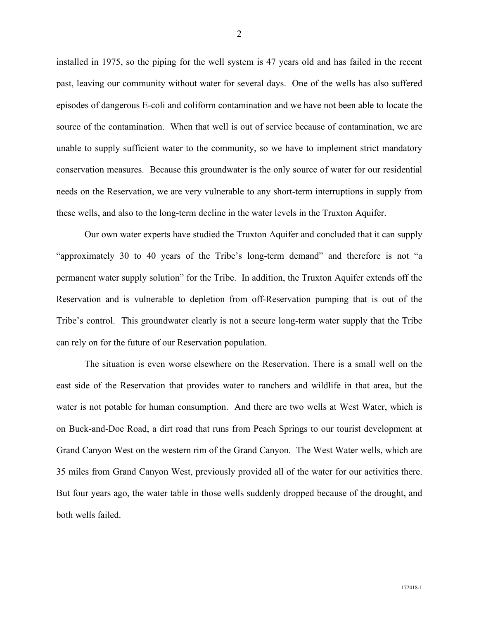installed in 1975, so the piping for the well system is 47 years old and has failed in the recent past, leaving our community without water for several days. One of the wells has also suffered episodes of dangerous E-coli and coliform contamination and we have not been able to locate the source of the contamination. When that well is out of service because of contamination, we are unable to supply sufficient water to the community, so we have to implement strict mandatory conservation measures. Because this groundwater is the only source of water for our residential needs on the Reservation, we are very vulnerable to any short-term interruptions in supply from these wells, and also to the long-term decline in the water levels in the Truxton Aquifer.

Our own water experts have studied the Truxton Aquifer and concluded that it can supply "approximately 30 to 40 years of the Tribe's long-term demand" and therefore is not "a permanent water supply solution" for the Tribe. In addition, the Truxton Aquifer extends off the Reservation and is vulnerable to depletion from off-Reservation pumping that is out of the Tribe's control. This groundwater clearly is not a secure long-term water supply that the Tribe can rely on for the future of our Reservation population.

The situation is even worse elsewhere on the Reservation. There is a small well on the east side of the Reservation that provides water to ranchers and wildlife in that area, but the water is not potable for human consumption. And there are two wells at West Water, which is on Buck-and-Doe Road, a dirt road that runs from Peach Springs to our tourist development at Grand Canyon West on the western rim of the Grand Canyon. The West Water wells, which are 35 miles from Grand Canyon West, previously provided all of the water for our activities there. But four years ago, the water table in those wells suddenly dropped because of the drought, and both wells failed.

2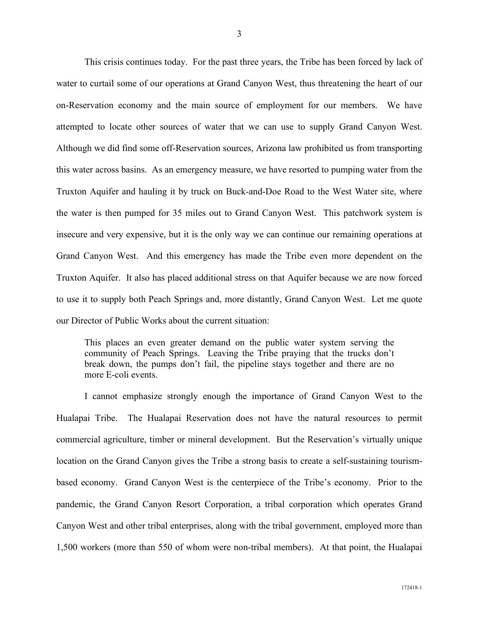This crisis continues today. For the past three years, the Tribe has been forced by lack of water to curtail some of our operations at Grand Canyon West, thus threatening the heart of our on-Reservation economy and the main source of employment for our members. We have attempted to locate other sources of water that we can use to supply Grand Canyon West. Although we did find some off-Reservation sources, Arizona law prohibited us from transporting this water across basins. As an emergency measure, we have resorted to pumping water from the Truxton Aquifer and hauling it by truck on Buck-and-Doe Road to the West Water site, where the water is then pumped for 35 miles out to Grand Canyon West. This patchwork system is insecure and very expensive, but it is the only way we can continue our remaining operations at Grand Canyon West. And this emergency has made the Tribe even more dependent on the Truxton Aquifer. It also has placed additional stress on that Aquifer because we are now forced to use it to supply both Peach Springs and, more distantly, Grand Canyon West. Let me quote our Director of Public Works about the current situation:

This places an even greater demand on the public water system serving the community of Peach Springs. Leaving the Tribe praying that the trucks don't break down, the pumps don't fail, the pipeline stays together and there are no more E-coli events.

I cannot emphasize strongly enough the importance of Grand Canyon West to the Hualapai Tribe. The Hualapai Reservation does not have the natural resources to permit commercial agriculture, timber or mineral development. But the Reservation's virtually unique location on the Grand Canyon gives the Tribe a strong basis to create a self-sustaining tourismbased economy. Grand Canyon West is the centerpiece of the Tribe's economy. Prior to the pandemic, the Grand Canyon Resort Corporation, a tribal corporation which operates Grand Canyon West and other tribal enterprises, along with the tribal government, employed more than 1,500 workers (more than 550 of whom were non-tribal members). At that point, the Hualapai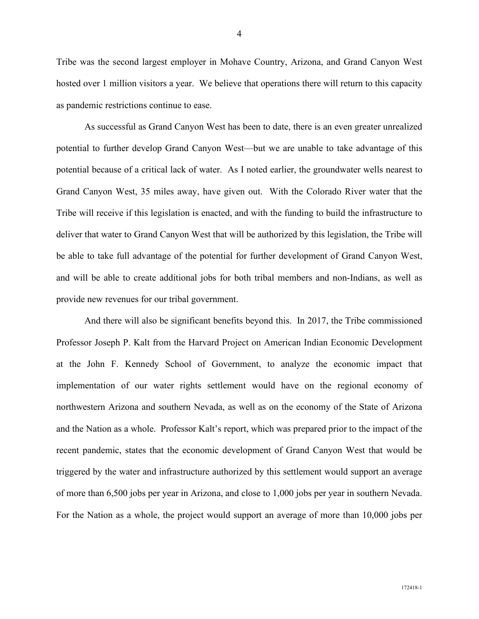Tribe was the second largest employer in Mohave Country, Arizona, and Grand Canyon West hosted over 1 million visitors a year. We believe that operations there will return to this capacity as pandemic restrictions continue to ease.

As successful as Grand Canyon West has been to date, there is an even greater unrealized potential to further develop Grand Canyon West—but we are unable to take advantage of this potential because of a critical lack of water. As I noted earlier, the groundwater wells nearest to Grand Canyon West, 35 miles away, have given out. With the Colorado River water that the Tribe will receive if this legislation is enacted, and with the funding to build the infrastructure to deliver that water to Grand Canyon West that will be authorized by this legislation, the Tribe will be able to take full advantage of the potential for further development of Grand Canyon West, and will be able to create additional jobs for both tribal members and non-Indians, as well as provide new revenues for our tribal government.

And there will also be significant benefits beyond this. In 2017, the Tribe commissioned Professor Joseph P. Kalt from the Harvard Project on American Indian Economic Development at the John F. Kennedy School of Government, to analyze the economic impact that implementation of our water rights settlement would have on the regional economy of northwestern Arizona and southern Nevada, as well as on the economy of the State of Arizona and the Nation as a whole. Professor Kalt's report, which was prepared prior to the impact of the recent pandemic, states that the economic development of Grand Canyon West that would be triggered by the water and infrastructure authorized by this settlement would support an average of more than 6,500 jobs per year in Arizona, and close to 1,000 jobs per year in southern Nevada. For the Nation as a whole, the project would support an average of more than 10,000 jobs per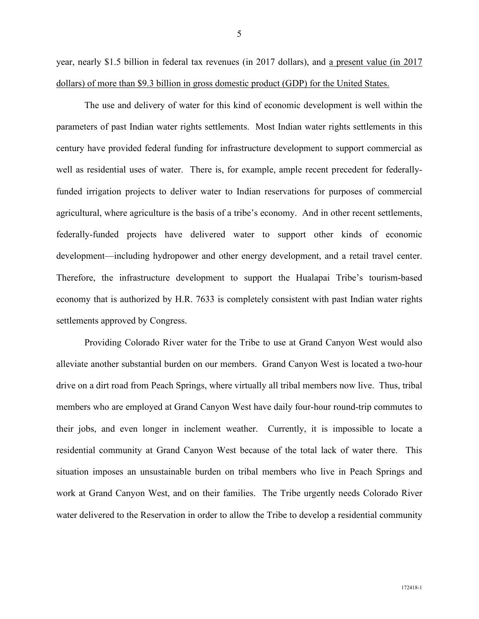year, nearly \$1.5 billion in federal tax revenues (in 2017 dollars), and a present value (in 2017 dollars) of more than \$9.3 billion in gross domestic product (GDP) for the United States.

The use and delivery of water for this kind of economic development is well within the parameters of past Indian water rights settlements. Most Indian water rights settlements in this century have provided federal funding for infrastructure development to support commercial as well as residential uses of water. There is, for example, ample recent precedent for federallyfunded irrigation projects to deliver water to Indian reservations for purposes of commercial agricultural, where agriculture is the basis of a tribe's economy. And in other recent settlements, federally-funded projects have delivered water to support other kinds of economic development—including hydropower and other energy development, and a retail travel center. Therefore, the infrastructure development to support the Hualapai Tribe's tourism-based economy that is authorized by H.R. 7633 is completely consistent with past Indian water rights settlements approved by Congress.

Providing Colorado River water for the Tribe to use at Grand Canyon West would also alleviate another substantial burden on our members. Grand Canyon West is located a two-hour drive on a dirt road from Peach Springs, where virtually all tribal members now live. Thus, tribal members who are employed at Grand Canyon West have daily four-hour round-trip commutes to their jobs, and even longer in inclement weather. Currently, it is impossible to locate a residential community at Grand Canyon West because of the total lack of water there. This situation imposes an unsustainable burden on tribal members who live in Peach Springs and work at Grand Canyon West, and on their families. The Tribe urgently needs Colorado River water delivered to the Reservation in order to allow the Tribe to develop a residential community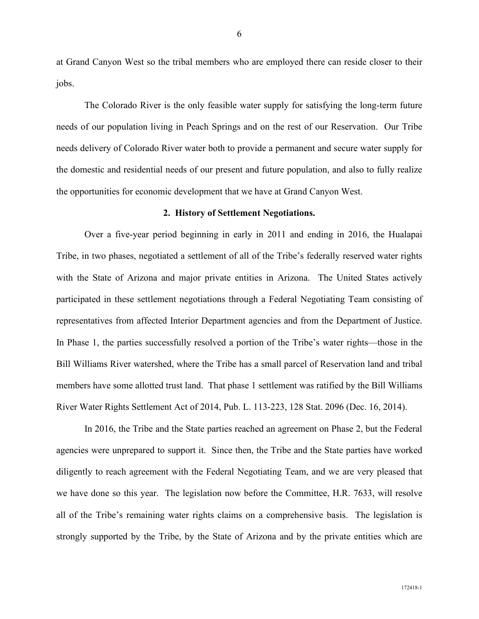at Grand Canyon West so the tribal members who are employed there can reside closer to their jobs.

The Colorado River is the only feasible water supply for satisfying the long-term future needs of our population living in Peach Springs and on the rest of our Reservation. Our Tribe needs delivery of Colorado River water both to provide a permanent and secure water supply for the domestic and residential needs of our present and future population, and also to fully realize the opportunities for economic development that we have at Grand Canyon West.

#### **2. History of Settlement Negotiations.**

Over a five-year period beginning in early in 2011 and ending in 2016, the Hualapai Tribe, in two phases, negotiated a settlement of all of the Tribe's federally reserved water rights with the State of Arizona and major private entities in Arizona. The United States actively participated in these settlement negotiations through a Federal Negotiating Team consisting of representatives from affected Interior Department agencies and from the Department of Justice. In Phase 1, the parties successfully resolved a portion of the Tribe's water rights—those in the Bill Williams River watershed, where the Tribe has a small parcel of Reservation land and tribal members have some allotted trust land. That phase 1 settlement was ratified by the Bill Williams River Water Rights Settlement Act of 2014, Pub. L. 113-223, 128 Stat. 2096 (Dec. 16, 2014).

In 2016, the Tribe and the State parties reached an agreement on Phase 2, but the Federal agencies were unprepared to support it. Since then, the Tribe and the State parties have worked diligently to reach agreement with the Federal Negotiating Team, and we are very pleased that we have done so this year. The legislation now before the Committee, H.R. 7633, will resolve all of the Tribe's remaining water rights claims on a comprehensive basis. The legislation is strongly supported by the Tribe, by the State of Arizona and by the private entities which are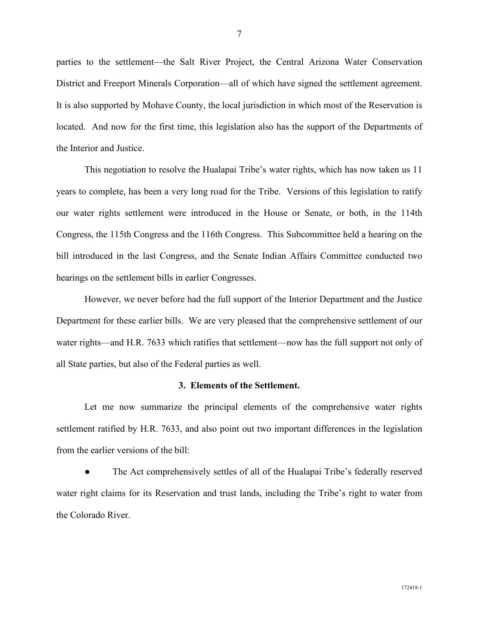parties to the settlement—the Salt River Project, the Central Arizona Water Conservation District and Freeport Minerals Corporation—all of which have signed the settlement agreement. It is also supported by Mohave County, the local jurisdiction in which most of the Reservation is located. And now for the first time, this legislation also has the support of the Departments of the Interior and Justice.

This negotiation to resolve the Hualapai Tribe's water rights, which has now taken us 11 years to complete, has been a very long road for the Tribe. Versions of this legislation to ratify our water rights settlement were introduced in the House or Senate, or both, in the 114th Congress, the 115th Congress and the 116th Congress. This Subcommittee held a hearing on the bill introduced in the last Congress, and the Senate Indian Affairs Committee conducted two hearings on the settlement bills in earlier Congresses.

However, we never before had the full support of the Interior Department and the Justice Department for these earlier bills. We are very pleased that the comprehensive settlement of our water rights—and H.R. 7633 which ratifies that settlement—now has the full support not only of all State parties, but also of the Federal parties as well.

#### **3. Elements of the Settlement.**

Let me now summarize the principal elements of the comprehensive water rights settlement ratified by H.R. 7633, and also point out two important differences in the legislation from the earlier versions of the bill:

The Act comprehensively settles of all of the Hualapai Tribe's federally reserved water right claims for its Reservation and trust lands, including the Tribe's right to water from the Colorado River.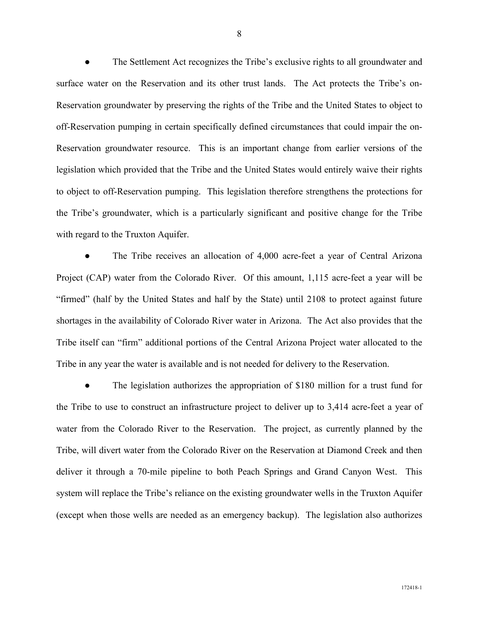The Settlement Act recognizes the Tribe's exclusive rights to all groundwater and surface water on the Reservation and its other trust lands. The Act protects the Tribe's on-Reservation groundwater by preserving the rights of the Tribe and the United States to object to off-Reservation pumping in certain specifically defined circumstances that could impair the on-Reservation groundwater resource. This is an important change from earlier versions of the legislation which provided that the Tribe and the United States would entirely waive their rights to object to off-Reservation pumping. This legislation therefore strengthens the protections for the Tribe's groundwater, which is a particularly significant and positive change for the Tribe with regard to the Truxton Aquifer.

The Tribe receives an allocation of 4,000 acre-feet a year of Central Arizona Project (CAP) water from the Colorado River. Of this amount, 1,115 acre-feet a year will be "firmed" (half by the United States and half by the State) until 2108 to protect against future shortages in the availability of Colorado River water in Arizona. The Act also provides that the Tribe itself can "firm" additional portions of the Central Arizona Project water allocated to the Tribe in any year the water is available and is not needed for delivery to the Reservation.

The legislation authorizes the appropriation of \$180 million for a trust fund for the Tribe to use to construct an infrastructure project to deliver up to 3,414 acre-feet a year of water from the Colorado River to the Reservation. The project, as currently planned by the Tribe, will divert water from the Colorado River on the Reservation at Diamond Creek and then deliver it through a 70-mile pipeline to both Peach Springs and Grand Canyon West. This system will replace the Tribe's reliance on the existing groundwater wells in the Truxton Aquifer (except when those wells are needed as an emergency backup). The legislation also authorizes

8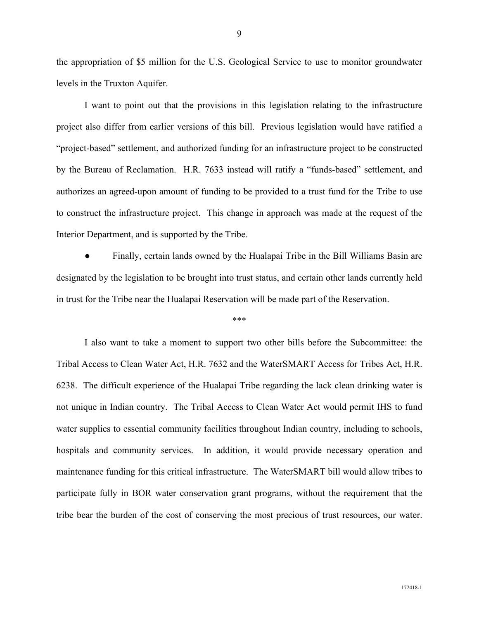the appropriation of \$5 million for the U.S. Geological Service to use to monitor groundwater levels in the Truxton Aquifer.

I want to point out that the provisions in this legislation relating to the infrastructure project also differ from earlier versions of this bill. Previous legislation would have ratified a "project-based" settlement, and authorized funding for an infrastructure project to be constructed by the Bureau of Reclamation. H.R. 7633 instead will ratify a "funds-based" settlement, and authorizes an agreed-upon amount of funding to be provided to a trust fund for the Tribe to use to construct the infrastructure project. This change in approach was made at the request of the Interior Department, and is supported by the Tribe.

Finally, certain lands owned by the Hualapai Tribe in the Bill Williams Basin are designated by the legislation to be brought into trust status, and certain other lands currently held in trust for the Tribe near the Hualapai Reservation will be made part of the Reservation.

#### \*\*\*

I also want to take a moment to support two other bills before the Subcommittee: the Tribal Access to Clean Water Act, H.R. 7632 and the WaterSMART Access for Tribes Act, H.R. 6238. The difficult experience of the Hualapai Tribe regarding the lack clean drinking water is not unique in Indian country. The Tribal Access to Clean Water Act would permit IHS to fund water supplies to essential community facilities throughout Indian country, including to schools, hospitals and community services. In addition, it would provide necessary operation and maintenance funding for this critical infrastructure. The WaterSMART bill would allow tribes to participate fully in BOR water conservation grant programs, without the requirement that the tribe bear the burden of the cost of conserving the most precious of trust resources, our water.